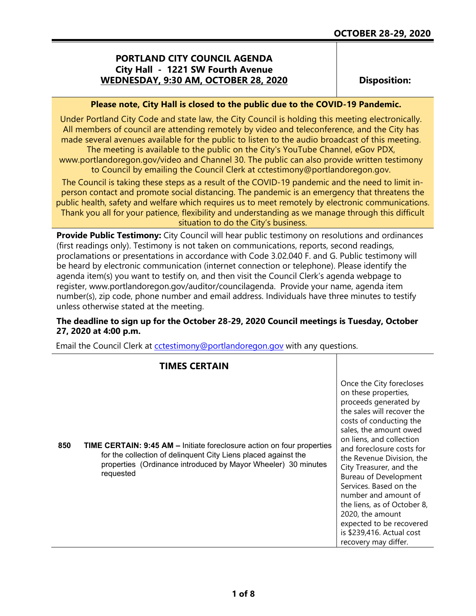## **PORTLAND CITY COUNCIL AGENDA City Hall - 1221 SW Fourth Avenue WEDNESDAY, 9:30 AM, OCTOBER 28, 2020**

**Disposition:**

### **Please note, City Hall is closed to the public due to the COVID-19 Pandemic.**

Under Portland City Code and state law, the City Council is holding this meeting electronically. All members of council are attending remotely by video and teleconference, and the City has made several avenues available for the public to listen to the audio broadcast of this meeting. The meeting is available to the public on the City's YouTube Channel, eGov PDX,

www.portlandoregon.gov/video and Channel 30. The public can also provide written testimony to Council by emailing the Council Clerk at cctestimony@portlandoregon.gov.

The Council is taking these steps as a result of the COVID-19 pandemic and the need to limit inperson contact and promote social distancing. The pandemic is an emergency that threatens the public health, safety and welfare which requires us to meet remotely by electronic communications. Thank you all for your patience, flexibility and understanding as we manage through this difficult situation to do the City's business.

**Provide Public Testimony:** City Council will hear public testimony on resolutions and ordinances (first readings only). Testimony is not taken on communications, reports, second readings, proclamations or presentations in accordance with Code 3.02.040 F. and G. Public testimony will be heard by electronic communication (internet connection or telephone). Please identify the agenda item(s) you want to testify on, and then visit the Council Clerk's agenda webpage to register, www.portlandoregon.gov/auditor/councilagenda. Provide your name, agenda item number(s), zip code, phone number and email address. Individuals have three minutes to testify unless otherwise stated at the meeting.

## **The deadline to sign up for the October 28-29, 2020 Council meetings is Tuesday, October 27, 2020 at 4:00 p.m.**

Email the Council Clerk at cotestimony@portlandoregon.gov with any questions.

|     | <b>TIMES CERTAIN</b>                                                                                                                                                                                                          |                                                                                                                                                                                                                                                                                                                                                                                                                                                                                              |
|-----|-------------------------------------------------------------------------------------------------------------------------------------------------------------------------------------------------------------------------------|----------------------------------------------------------------------------------------------------------------------------------------------------------------------------------------------------------------------------------------------------------------------------------------------------------------------------------------------------------------------------------------------------------------------------------------------------------------------------------------------|
| 850 | <b>TIME CERTAIN: 9:45 AM - Initiate foreclosure action on four properties</b><br>for the collection of delinquent City Liens placed against the<br>properties (Ordinance introduced by Mayor Wheeler) 30 minutes<br>requested | Once the City forecloses<br>on these properties,<br>proceeds generated by<br>the sales will recover the<br>costs of conducting the<br>sales, the amount owed<br>on liens, and collection<br>and foreclosure costs for<br>the Revenue Division, the<br>City Treasurer, and the<br>Bureau of Development<br>Services. Based on the<br>number and amount of<br>the liens, as of October 8,<br>2020, the amount<br>expected to be recovered<br>is \$239,416. Actual cost<br>recovery may differ. |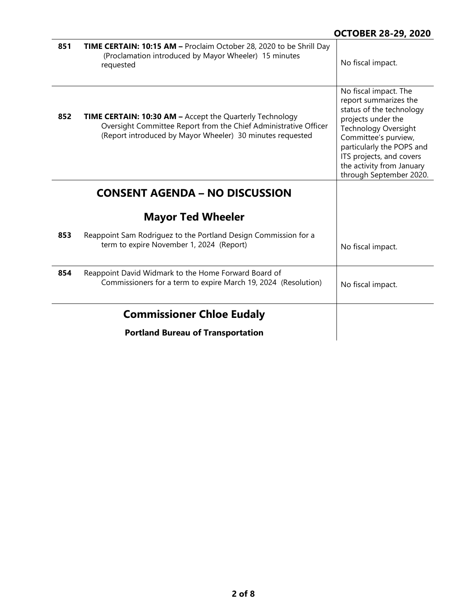| 851 | TIME CERTAIN: 10:15 AM - Proclaim October 28, 2020 to be Shrill Day<br>(Proclamation introduced by Mayor Wheeler) 15 minutes<br>requested                                                        | No fiscal impact.                                                                                                                                                                                                                                                        |
|-----|--------------------------------------------------------------------------------------------------------------------------------------------------------------------------------------------------|--------------------------------------------------------------------------------------------------------------------------------------------------------------------------------------------------------------------------------------------------------------------------|
| 852 | <b>TIME CERTAIN: 10:30 AM - Accept the Quarterly Technology</b><br>Oversight Committee Report from the Chief Administrative Officer<br>(Report introduced by Mayor Wheeler) 30 minutes requested | No fiscal impact. The<br>report summarizes the<br>status of the technology<br>projects under the<br><b>Technology Oversight</b><br>Committee's purview,<br>particularly the POPS and<br>ITS projects, and covers<br>the activity from January<br>through September 2020. |
|     | <b>CONSENT AGENDA – NO DISCUSSION</b>                                                                                                                                                            |                                                                                                                                                                                                                                                                          |
|     | <b>Mayor Ted Wheeler</b>                                                                                                                                                                         |                                                                                                                                                                                                                                                                          |
| 853 | Reappoint Sam Rodriguez to the Portland Design Commission for a<br>term to expire November 1, 2024 (Report)                                                                                      | No fiscal impact.                                                                                                                                                                                                                                                        |
| 854 | Reappoint David Widmark to the Home Forward Board of<br>Commissioners for a term to expire March 19, 2024 (Resolution)                                                                           | No fiscal impact.                                                                                                                                                                                                                                                        |
|     | <b>Commissioner Chloe Eudaly</b>                                                                                                                                                                 |                                                                                                                                                                                                                                                                          |
|     | <b>Portland Bureau of Transportation</b>                                                                                                                                                         |                                                                                                                                                                                                                                                                          |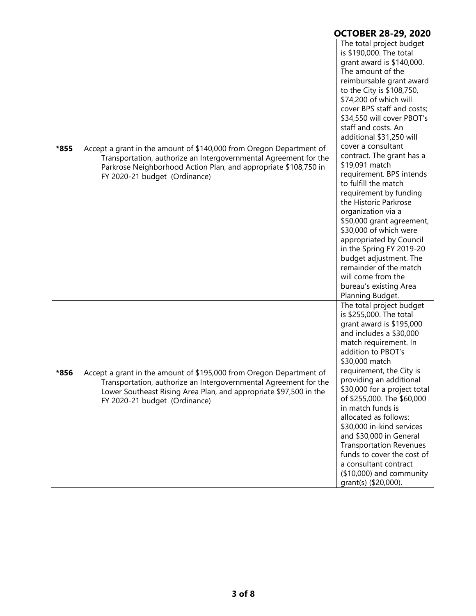|      |                                                                                                                                                                                                                                               | <b>OCTOBER 28-29, 2020</b>                                                                                                                                                                                                                                                                                                                                                                                                                                                                                                                                                                                                                                                                                                                      |
|------|-----------------------------------------------------------------------------------------------------------------------------------------------------------------------------------------------------------------------------------------------|-------------------------------------------------------------------------------------------------------------------------------------------------------------------------------------------------------------------------------------------------------------------------------------------------------------------------------------------------------------------------------------------------------------------------------------------------------------------------------------------------------------------------------------------------------------------------------------------------------------------------------------------------------------------------------------------------------------------------------------------------|
| *855 | Accept a grant in the amount of \$140,000 from Oregon Department of<br>Transportation, authorize an Intergovernmental Agreement for the<br>Parkrose Neighborhood Action Plan, and appropriate \$108,750 in<br>FY 2020-21 budget (Ordinance)   | The total project budget<br>is \$190,000. The total<br>grant award is \$140,000.<br>The amount of the<br>reimbursable grant award<br>to the City is \$108,750,<br>\$74,200 of which will<br>cover BPS staff and costs;<br>\$34,550 will cover PBOT's<br>staff and costs. An<br>additional \$31,250 will<br>cover a consultant<br>contract. The grant has a<br>\$19,091 match<br>requirement. BPS intends<br>to fulfill the match<br>requirement by funding<br>the Historic Parkrose<br>organization via a<br>\$50,000 grant agreement,<br>\$30,000 of which were<br>appropriated by Council<br>in the Spring FY 2019-20<br>budget adjustment. The<br>remainder of the match<br>will come from the<br>bureau's existing Area<br>Planning Budget. |
| *856 | Accept a grant in the amount of \$195,000 from Oregon Department of<br>Transportation, authorize an Intergovernmental Agreement for the<br>Lower Southeast Rising Area Plan, and appropriate \$97,500 in the<br>FY 2020-21 budget (Ordinance) | The total project budget<br>is \$255,000. The total<br>grant award is \$195,000<br>and includes a \$30,000<br>match requirement. In<br>addition to PBOT's<br>\$30,000 match<br>requirement, the City is<br>providing an additional<br>\$30,000 for a project total<br>of \$255,000. The \$60,000<br>in match funds is<br>allocated as follows:<br>\$30,000 in-kind services<br>and \$30,000 in General<br><b>Transportation Revenues</b><br>funds to cover the cost of<br>a consultant contract<br>$($10,000)$ and community<br>grant(s) (\$20,000).                                                                                                                                                                                            |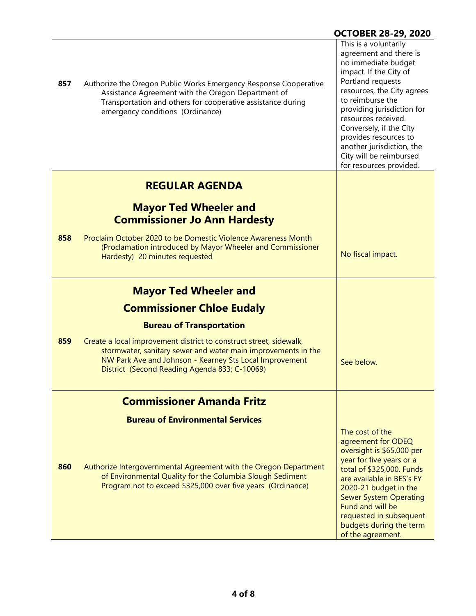| 857 | Authorize the Oregon Public Works Emergency Response Cooperative<br>Assistance Agreement with the Oregon Department of<br>Transportation and others for cooperative assistance during<br>emergency conditions (Ordinance)                       | This is a voluntarily<br>agreement and there is<br>no immediate budget<br>impact. If the City of<br>Portland requests<br>resources, the City agrees<br>to reimburse the<br>providing jurisdiction for<br>resources received.<br>Conversely, if the City<br>provides resources to<br>another jurisdiction, the<br>City will be reimbursed<br>for resources provided. |
|-----|-------------------------------------------------------------------------------------------------------------------------------------------------------------------------------------------------------------------------------------------------|---------------------------------------------------------------------------------------------------------------------------------------------------------------------------------------------------------------------------------------------------------------------------------------------------------------------------------------------------------------------|
|     | <b>REGULAR AGENDA</b>                                                                                                                                                                                                                           |                                                                                                                                                                                                                                                                                                                                                                     |
|     | <b>Mayor Ted Wheeler and</b><br><b>Commissioner Jo Ann Hardesty</b>                                                                                                                                                                             |                                                                                                                                                                                                                                                                                                                                                                     |
| 858 | Proclaim October 2020 to be Domestic Violence Awareness Month<br>(Proclamation introduced by Mayor Wheeler and Commissioner<br>Hardesty) 20 minutes requested                                                                                   | No fiscal impact.                                                                                                                                                                                                                                                                                                                                                   |
|     | <b>Mayor Ted Wheeler and</b>                                                                                                                                                                                                                    |                                                                                                                                                                                                                                                                                                                                                                     |
|     | <b>Commissioner Chloe Eudaly</b>                                                                                                                                                                                                                |                                                                                                                                                                                                                                                                                                                                                                     |
|     | <b>Bureau of Transportation</b>                                                                                                                                                                                                                 |                                                                                                                                                                                                                                                                                                                                                                     |
| 859 | Create a local improvement district to construct street, sidewalk,<br>stormwater, sanitary sewer and water main improvements in the<br>NW Park Ave and Johnson - Kearney Sts Local Improvement<br>District (Second Reading Agenda 833; C-10069) | See below.                                                                                                                                                                                                                                                                                                                                                          |
|     | <b>Commissioner Amanda Fritz</b>                                                                                                                                                                                                                |                                                                                                                                                                                                                                                                                                                                                                     |
|     | <b>Bureau of Environmental Services</b>                                                                                                                                                                                                         |                                                                                                                                                                                                                                                                                                                                                                     |
| 860 | Authorize Intergovernmental Agreement with the Oregon Department<br>of Environmental Quality for the Columbia Slough Sediment<br>Program not to exceed \$325,000 over five years (Ordinance)                                                    | The cost of the<br>agreement for ODEQ<br>oversight is \$65,000 per<br>year for five years or a<br>total of \$325,000. Funds<br>are available in BES's FY<br>2020-21 budget in the<br><b>Sewer System Operating</b><br>Fund and will be<br>requested in subsequent<br>budgets during the term<br>of the agreement.                                                   |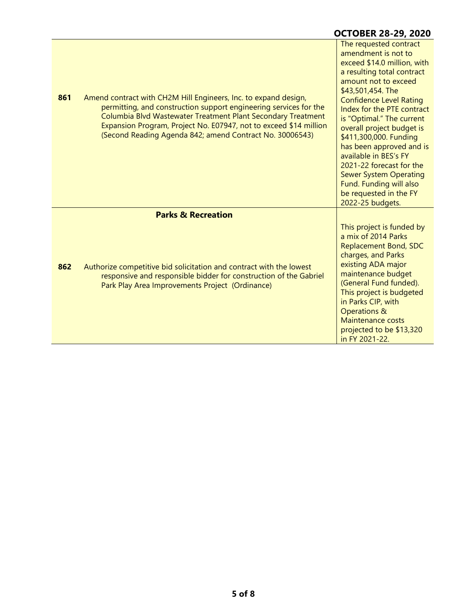# **OCTOBER 28-29, 2020**

| 861 | Amend contract with CH2M Hill Engineers, Inc. to expand design,<br>permitting, and construction support engineering services for the<br>Columbia Blvd Wastewater Treatment Plant Secondary Treatment<br>Expansion Program, Project No. E07947, not to exceed \$14 million<br>(Second Reading Agenda 842; amend Contract No. 30006543) | The requested contract<br>amendment is not to<br>exceed \$14.0 million, with<br>a resulting total contract<br>amount not to exceed<br>\$43,501,454. The<br><b>Confidence Level Rating</b><br>Index for the PTE contract<br>is "Optimal." The current<br>overall project budget is<br>\$411,300,000. Funding<br>has been approved and is<br>available in BES's FY<br>2021-22 forecast for the<br><b>Sewer System Operating</b><br>Fund. Funding will also<br>be requested in the FY<br>2022-25 budgets. |
|-----|---------------------------------------------------------------------------------------------------------------------------------------------------------------------------------------------------------------------------------------------------------------------------------------------------------------------------------------|--------------------------------------------------------------------------------------------------------------------------------------------------------------------------------------------------------------------------------------------------------------------------------------------------------------------------------------------------------------------------------------------------------------------------------------------------------------------------------------------------------|
|     | <b>Parks &amp; Recreation</b>                                                                                                                                                                                                                                                                                                         |                                                                                                                                                                                                                                                                                                                                                                                                                                                                                                        |
| 862 | Authorize competitive bid solicitation and contract with the lowest<br>responsive and responsible bidder for construction of the Gabriel<br>Park Play Area Improvements Project (Ordinance)                                                                                                                                           | This project is funded by<br>a mix of 2014 Parks<br><b>Replacement Bond, SDC</b><br>charges, and Parks<br>existing ADA major<br>maintenance budget<br>(General Fund funded).<br>This project is budgeted<br>in Parks CIP, with<br><b>Operations &amp;</b><br>Maintenance costs<br>projected to be \$13,320<br>in FY 2021-22.                                                                                                                                                                           |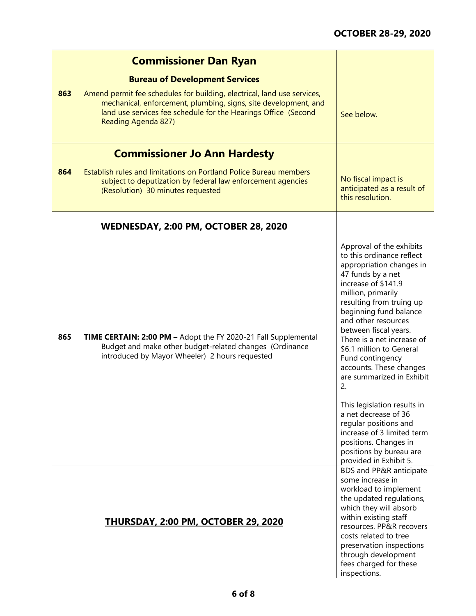|     | <b>Commissioner Dan Ryan</b>                                                                                                                                                                                                        |                                                                                                                                                                                                                                                                                                                                                                                                                                                                                                                                              |
|-----|-------------------------------------------------------------------------------------------------------------------------------------------------------------------------------------------------------------------------------------|----------------------------------------------------------------------------------------------------------------------------------------------------------------------------------------------------------------------------------------------------------------------------------------------------------------------------------------------------------------------------------------------------------------------------------------------------------------------------------------------------------------------------------------------|
|     | <b>Bureau of Development Services</b>                                                                                                                                                                                               |                                                                                                                                                                                                                                                                                                                                                                                                                                                                                                                                              |
| 863 | Amend permit fee schedules for building, electrical, land use services,<br>mechanical, enforcement, plumbing, signs, site development, and<br>land use services fee schedule for the Hearings Office (Second<br>Reading Agenda 827) | See below.                                                                                                                                                                                                                                                                                                                                                                                                                                                                                                                                   |
|     | <b>Commissioner Jo Ann Hardesty</b>                                                                                                                                                                                                 |                                                                                                                                                                                                                                                                                                                                                                                                                                                                                                                                              |
| 864 | Establish rules and limitations on Portland Police Bureau members<br>subject to deputization by federal law enforcement agencies<br>(Resolution) 30 minutes requested                                                               | No fiscal impact is<br>anticipated as a result of<br>this resolution.                                                                                                                                                                                                                                                                                                                                                                                                                                                                        |
|     | <b>WEDNESDAY, 2:00 PM, OCTOBER 28, 2020</b>                                                                                                                                                                                         |                                                                                                                                                                                                                                                                                                                                                                                                                                                                                                                                              |
| 865 | TIME CERTAIN: 2:00 PM - Adopt the FY 2020-21 Fall Supplemental<br>Budget and make other budget-related changes (Ordinance<br>introduced by Mayor Wheeler) 2 hours requested                                                         | Approval of the exhibits<br>to this ordinance reflect<br>appropriation changes in<br>47 funds by a net<br>increase of \$141.9<br>million, primarily<br>resulting from truing up<br>beginning fund balance<br>and other resources<br>between fiscal years.<br>There is a net increase of<br>\$6.1 million to General<br>Fund contingency<br>accounts. These changes<br>are summarized in Exhibit<br>2.<br>This legislation results in<br>a net decrease of 36<br>regular positions and<br>increase of 3 limited term<br>positions. Changes in |
|     |                                                                                                                                                                                                                                     | positions by bureau are<br>provided in Exhibit 5.<br>BDS and PP&R anticipate                                                                                                                                                                                                                                                                                                                                                                                                                                                                 |
|     | THURSDAY, 2:00 PM, OCTOBER 29, 2020                                                                                                                                                                                                 | some increase in<br>workload to implement<br>the updated regulations,<br>which they will absorb<br>within existing staff<br>resources. PP&R recovers<br>costs related to tree<br>preservation inspections<br>through development<br>fees charged for these<br>inspections.                                                                                                                                                                                                                                                                   |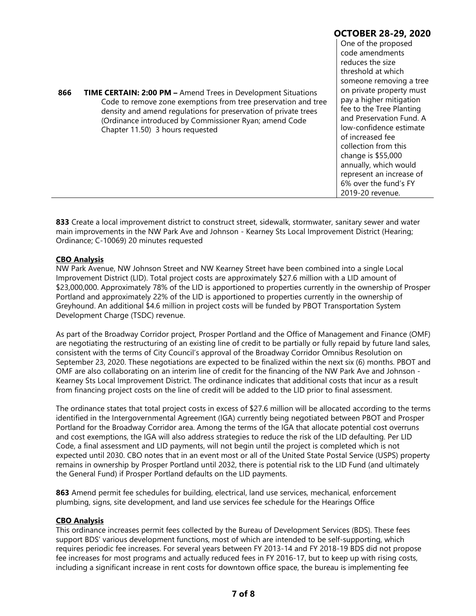|     |                                                                                                                                                                                                                                                                                                         | <b>OCTOBER 28-29, 2020</b>                                                                                                                                                                                                                                                                                                                                                                                                |
|-----|---------------------------------------------------------------------------------------------------------------------------------------------------------------------------------------------------------------------------------------------------------------------------------------------------------|---------------------------------------------------------------------------------------------------------------------------------------------------------------------------------------------------------------------------------------------------------------------------------------------------------------------------------------------------------------------------------------------------------------------------|
| 866 | <b>TIME CERTAIN: 2:00 PM - Amend Trees in Development Situations</b><br>Code to remove zone exemptions from tree preservation and tree<br>density and amend regulations for preservation of private trees<br>(Ordinance introduced by Commissioner Ryan; amend Code<br>Chapter 11.50) 3 hours requested | One of the proposed<br>code amendments<br>reduces the size<br>threshold at which<br>someone removing a tree<br>on private property must<br>pay a higher mitigation<br>fee to the Tree Planting<br>and Preservation Fund. A<br>low-confidence estimate<br>of increased fee<br>collection from this<br>change is \$55,000<br>annually, which would<br>represent an increase of<br>6% over the fund's FY<br>2019-20 revenue. |

**833** Create a local improvement district to construct street, sidewalk, stormwater, sanitary sewer and water main improvements in the NW Park Ave and Johnson - Kearney Sts Local Improvement District (Hearing; Ordinance; C-10069) 20 minutes requested

#### **CBO Analysis**

NW Park Avenue, NW Johnson Street and NW Kearney Street have been combined into a single Local Improvement District (LID). Total project costs are approximately \$27.6 million with a LID amount of \$23,000,000. Approximately 78% of the LID is apportioned to properties currently in the ownership of Prosper Portland and approximately 22% of the LID is apportioned to properties currently in the ownership of Greyhound. An additional \$4.6 million in project costs will be funded by PBOT Transportation System Development Charge (TSDC) revenue.

As part of the Broadway Corridor project, Prosper Portland and the Office of Management and Finance (OMF) are negotiating the restructuring of an existing line of credit to be partially or fully repaid by future land sales, consistent with the terms of City Council's approval of the Broadway Corridor Omnibus Resolution on September 23, 2020. These negotiations are expected to be finalized within the next six (6) months. PBOT and OMF are also collaborating on an interim line of credit for the financing of the NW Park Ave and Johnson - Kearney Sts Local Improvement District. The ordinance indicates that additional costs that incur as a result from financing project costs on the line of credit will be added to the LID prior to final assessment.

The ordinance states that total project costs in excess of \$27.6 million will be allocated according to the terms identified in the Intergovernmental Agreement (IGA) currently being negotiated between PBOT and Prosper Portland for the Broadway Corridor area. Among the terms of the IGA that allocate potential cost overruns and cost exemptions, the IGA will also address strategies to reduce the risk of the LID defaulting. Per LID Code, a final assessment and LID payments, will not begin until the project is completed which is not expected until 2030. CBO notes that in an event most or all of the United State Postal Service (USPS) property remains in ownership by Prosper Portland until 2032, there is potential risk to the LID Fund (and ultimately the General Fund) if Prosper Portland defaults on the LID payments.

**863** Amend permit fee schedules for building, electrical, land use services, mechanical, enforcement plumbing, signs, site development, and land use services fee schedule for the Hearings Office

#### **CBO Analysis**

This ordinance increases permit fees collected by the Bureau of Development Services (BDS). These fees support BDS' various development functions, most of which are intended to be self-supporting, which requires periodic fee increases. For several years between FY 2013-14 and FY 2018-19 BDS did not propose fee increases for most programs and actually reduced fees in FY 2016-17, but to keep up with rising costs, including a significant increase in rent costs for downtown office space, the bureau is implementing fee